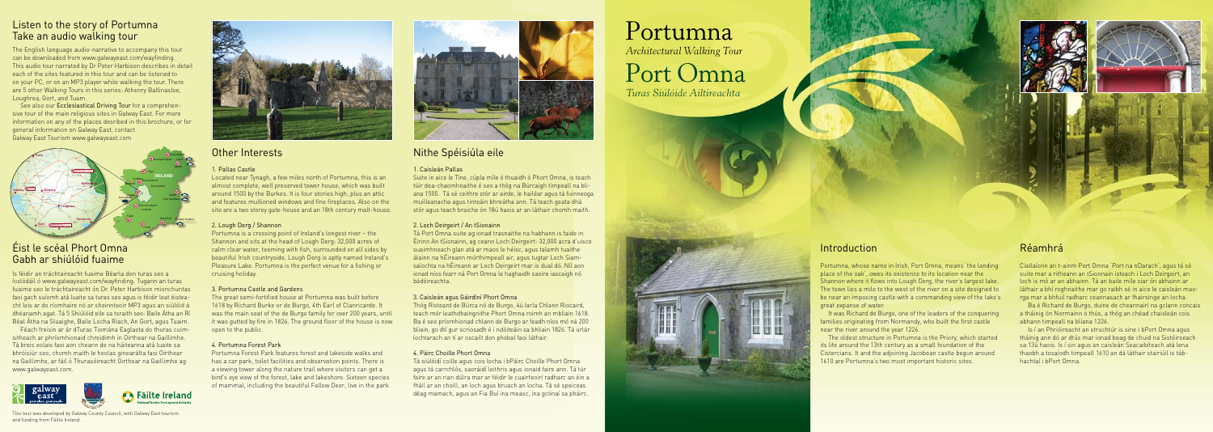### Introduction

Portumna, whose name in Irish, Port Omna, means 'the landing place of the oak', owes its existence to its location near the Shannon where it flows into Lough Derg, the river's largest lake. The town lies a mile to the west of the river on a site designed to be near an imposing castle with a commanding view of the lake's great expanse of water.

It was Richard de Burgo, one of the leaders of the conquering families originating from Normandy, who built the first castle near the river around the year 1226.

The oldest structure in Portumna is the Priory, which started its life around the 13th century as a small foundation of the Cistercians. It and the adjoining Jacobean castle begun around 1610 are Portumna's two most important historic sites.

### Réamhrá

Ciallaíonn an t-ainm Port Omna 'Port na nDarach', agus tá sé suite mar a ritheann an tSionnain isteach i Loch Deirgeirt, an loch is mó ar an abhainn. Tá an baile míle siar ón abhainn ar láthair a bhí roghnaithe mar go raibh sé in aice le caisleán maorga mar a bhfuil radharc ceannasach ar fhairsinge an locha.

Ba é Richard de Burgo, duine de cheannairí na gclann concais a tháinig ón Normainn ó thús, a thóg an chéad chaisleán cois abhann timpeall na bliana 1226.

Is í an Phrióireacht an struchtúr is sine i bPort Omna agus tháinig ann dó ar dtús mar ionad beag de chuid na Sistéirseach sa 13ú haois. Is í sin agus an caisleán Seacaibíteach atá lena thaobh a tosaíodh timpeall 1610 an dá láthair stairiúil is tábhachtaí i bPort Omna.

## Other Interests

### 1. Pallas Castle

Located near Tynagh, a few miles north of Portumna, this is an almost complete, well preserved tower house, which was built around 1500 by the Burkes. It is four stories high, plus an attic and features mullioned windows and fine fireplaces. Also on the site are a two storey gate-house and an 18th century malt-house.

### 2. Lough Derg / Shannon

Portumna is a crossing point of Ireland's longest river – the Shannon and sits at the head of Lough Derg: 32,000 acres of calm clear water, teeming with fish, surrounded on all sides by beautiful Irish countryside, Lough Derg is aptly named Ireland's Pleasure Lake. Portumna is the perfect venue for a fishing or cruising holiday.

#### 3. Portumna Castle and Gardens

The great semi-fortified house at Portumna was built before 1618 by Richard Burke or de Burgo, 4th Earl of Clanricarde. It was the main seat of the de Burgo family for over 200 years, until it was gutted by fire in 1826. The ground floor of the house is now open to the public.

#### 4. Portumna Forest Park

Portumna *Architectural Walking Tour*

Portumna Forest Park features forest and lakeside walks and has a car park, toilet facilities and observation points. There is a viewing tower along the nature trail where visitors can get a bird's eye view of the forest, lake and lakeshore. Sixteen species of mammal, including the beautiful Fallow Deer, live in the park.



# Nithe Spéisiúla eile

### 1. Caisleán Pallas

Suite in aice le Tíne, cúpla míle ó thuaidh ó Phort Omna, is teach túir dea-chaomhnaithe é seo a thóg na Búrcaigh timpeall na bliana 1500. Tá sé ceithre stór ar airde, le hailéar agus tá fuinneoga muilleanacha agus tinteáin bhreátha ann. Tá teach geata dhá stór agus teach braiche ón 18ú haois ar an láthair chomh maith.

### 2. Loch Deirgeirt / An tSionainn

See also our Ecclesiastical Driving Tour for a comprehensive tour of the main religious sites in Galway East. For more information on any of the places desribed in this brochure, or for general information on Galway East, contact N83 N60 **GALWAY CITY to KNOCK AIRPORT –** *89kms* Galway East Tourism www.galwayeast.com R360 R364

> Tá Port Omna suite ag ionad trasnaithe na habhann is faide in Éirinn An tSionainn, ag ceann Loch Deirgeirt: 32,000 acra d'uisce suaimhneach glan atá ar maos le héisc, agus talamh tuaithe álainn na hÉireann mórthimpeall air, agus tugtar Loch Siamsaíochta na hÉireann ar Loch Deirgeirt mar is dual dó. Níl aon ionad níos fearr ná Port Omna le haghaidh saoire iascaigh nó bádóireachta.

### 3. Caisleán agus Gáirdíní Phort Omna

Thóg Risteard de Búrca nó de Burgo, 4ú Iarla Chlann Riocaird, teach mór leathdhaingnithe Phort Omna roimh an mbliain 1618. Ba é seo príomhionad chlann de Burgo ar feadh níos mó ná 200 bliain, go dtí gur scriosadh é i ndóiteáin sa bhliain 1826. Tá urlár íochtarach an tí ar oscailt don phobal faoi láthair.

### 4. Páirc Choille Phort Omna

Tá siúlóidí coille agus cois locha i bPáirc Choille Phort Omna agus tá carrchlós, saoráidí leithris agus ionaid faire ann. Tá túr faire ar an rian dúlra mar ar féidir le cuairteoirí radharc an éin a fháil ar an choill, an loch agus bruach an locha. Tá sé speiceas déag mamach, agus an Fia Buí ina measc, ina gcónaí sa pháirc.

# Listen to the story of Portumna<br>Take an audio walking tour

The English language audio-narrative to accompany this tour can be downloaded from www.galwayeast.com/wayfinding. This audio tour narrated by Dr Peter Harbison describes in detail each of the sites featured in this tour and can be listened to on your PC, or on an MP3 player while walking the tour. There are 5 other Walking Tours in this series: Athenry Ballinasloe, Loughrea, Gort, and Tuam.

Port Omna

*Turas Siúlóide Ailtireachta*





Is féidir an tráchtaireacht fuaime Béarla don turas seo a íoslódáil ó www.galwayeast.com/wayfinding. Tugann an turas fuaime seo le tráchtaireacht ón Dr. Peter Harbison mionchuntas faoi gach suíomh atá luaite sa turas seo agus is féidir leat éisteacht leis ar do ríomhaire nó ar sheinnteoir MP3 agus an siúlóid á dhéanamh agat. Tá 5 Shiúlóid eile sa tsraith seo: Baile Átha an Rí Béal Átha na Sluaighe, Baile Locha Riach, An Gort, agus Tuaim.

Féach freisin ar ár dTuras Tiomána Eaglasta do thuras cuimsitheach ar phríomhionaid chreidimh in Oirthear na Gaillimhe. Tá breis eolais faoi aon cheann de na háiteanna atá luaite sa bhróisiúr seo, chomh maith le heolas ginearálta faoi Oirthear na Gaillimhe, ar fáil ó Thurasóireacht Oirthear na Gaillimhe ag www.galwayeast.com.





# Éist le scéal Phort Omna Gabh ar shiúlóid fuaime

This tour was developed by Galway County Council, with Galway East tourism and funding from Fáilte Ireland.